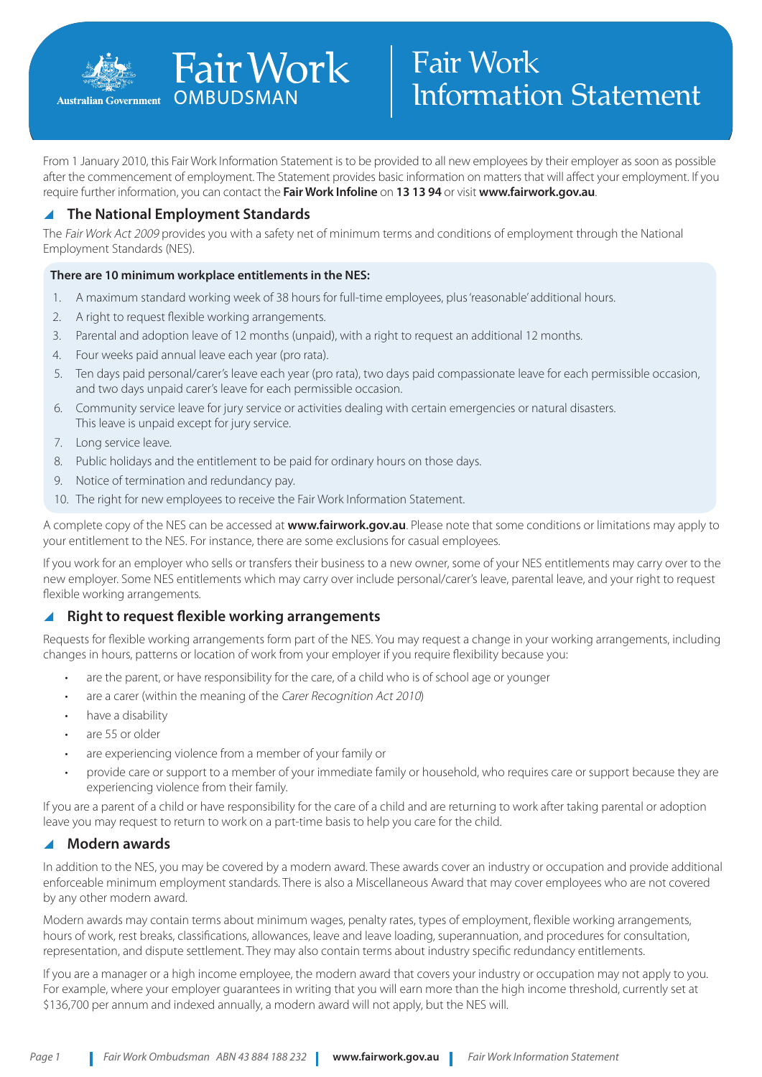

# Fair Work Information Statement

From 1 January 2010, this Fair Work Information Statement is to be provided to all new employees by their employer as soon as possible after the commencement of employment. The Statement provides basic information on matters that will affect your employment. If you require further information, you can contact the **Fair Work Infoline** on **13 13 94** or visit **www.fairwork.gov.au**.

#### **The National Employment Standards**

The Fair Work Act 2009 provides you with a safety net of minimum terms and conditions of employment through the National Employment Standards (NES).

#### **There are 10 minimum workplace entitlements in the NES:**

- 1. A maximum standard working week of 38 hours for full-time employees, plus 'reasonable' additional hours.
- 2. A right to request flexible working arrangements.
- 3. Parental and adoption leave of 12 months (unpaid), with a right to request an additional 12 months.
- 4. Four weeks paid annual leave each year (pro rata).
- 5. Ten days paid personal/carer's leave each year (pro rata), two days paid compassionate leave for each permissible occasion, and two days unpaid carer's leave for each permissible occasion.
- 6. Community service leave for jury service or activities dealing with certain emergencies or natural disasters. This leave is unpaid except for jury service.
- 7. Long service leave.
- 8. Public holidays and the entitlement to be paid for ordinary hours on those days.

**Fair Work** 

OMBUDSMAN

- 9. Notice of termination and redundancy pay.
- 10. The right for new employees to receive the Fair Work Information Statement.

A complete copy of the NES can be accessed at **www.fairwork.gov.au**. Please note that some conditions or limitations may apply to your entitlement to the NES. For instance, there are some exclusions for casual employees.

If you work for an employer who sells or transfers their business to a new owner, some of your NES entitlements may carry over to the new employer. Some NES entitlements which may carry over include personal/carer's leave, parental leave, and your right to request flexible working arrangements.

#### **Right to request flexible working arrangements**

Requests for flexible working arrangements form part of the NES. You may request a change in your working arrangements, including changes in hours, patterns or location of work from your employer if you require flexibility because you:

- are the parent, or have responsibility for the care, of a child who is of school age or younger
- are a carer (within the meaning of the Carer Recognition Act 2010)
- have a disability
- are 55 or older
- are experiencing violence from a member of your family or
- provide care or support to a member of your immediate family or household, who requires care or support because they are experiencing violence from their family.

If you are a parent of a child or have responsibility for the care of a child and are returning to work after taking parental or adoption leave you may request to return to work on a part-time basis to help you care for the child.

#### **Modern awards**

In addition to the NES, you may be covered by a modern award. These awards cover an industry or occupation and provide additional enforceable minimum employment standards. There is also a Miscellaneous Award that may cover employees who are not covered by any other modern award.

Modern awards may contain terms about minimum wages, penalty rates, types of employment, flexible working arrangements, hours of work, rest breaks, classifications, allowances, leave and leave loading, superannuation, and procedures for consultation, representation, and dispute settlement. They may also contain terms about industry specific redundancy entitlements.

If you are a manager or a high income employee, the modern award that covers your industry or occupation may not apply to you. For example, where your employer guarantees in writing that you will earn more than the high income threshold, currently set at \$136,700 per annum and indexed annually, a modern award will not apply, but the NES will.